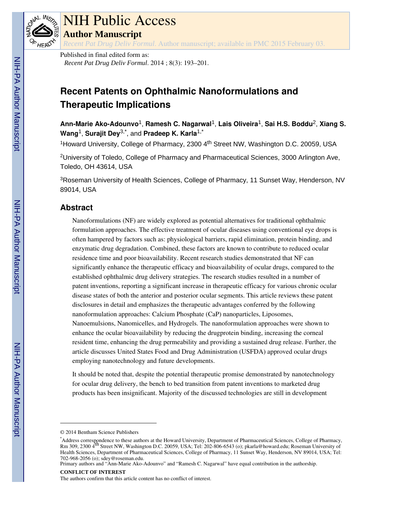

# NIH Public Access

**Author Manuscript**

*Recent Pat Drug Deliv Formul*. Author manuscript; available in PMC 2015 February 03.

Published in final edited form as: *Recent Pat Drug Deliv Formul*. 2014 ; 8(3): 193–201.

# **Recent Patents on Ophthalmic Nanoformulations and Therapeutic Implications**

**Ann-Marie Ako-Adounvo**1, **Ramesh C. Nagarwal**1, **Lais Oliveira**1, **Sai H.S. Boddu**2, **Xiang S. Wang**1, **Surajit Dey**3,\*, and **Pradeep K. Karla**1,\*

<sup>1</sup>Howard University, College of Pharmacy, 2300 4<sup>th</sup> Street NW, Washington D.C. 20059, USA

<sup>2</sup>University of Toledo, College of Pharmacy and Pharmaceutical Sciences, 3000 Arlington Ave, Toledo, OH 43614, USA

<sup>3</sup>Roseman University of Health Sciences, College of Pharmacy, 11 Sunset Way, Henderson, NV 89014, USA

# **Abstract**

Nanoformulations (NF) are widely explored as potential alternatives for traditional ophthalmic formulation approaches. The effective treatment of ocular diseases using conventional eye drops is often hampered by factors such as: physiological barriers, rapid elimination, protein binding, and enzymatic drug degradation. Combined, these factors are known to contribute to reduced ocular residence time and poor bioavailability. Recent research studies demonstrated that NF can significantly enhance the therapeutic efficacy and bioavailability of ocular drugs, compared to the established ophthalmic drug delivery strategies. The research studies resulted in a number of patent inventions, reporting a significant increase in therapeutic efficacy for various chronic ocular disease states of both the anterior and posterior ocular segments. This article reviews these patent disclosures in detail and emphasizes the therapeutic advantages conferred by the following nanoformulation approaches: Calcium Phosphate (CaP) nanoparticles, Liposomes, Nanoemulsions, Nanomicelles, and Hydrogels. The nanoformulation approaches were shown to enhance the ocular bioavailability by reducing the drugprotein binding, increasing the corneal resident time, enhancing the drug permeability and providing a sustained drug release. Further, the article discusses United States Food and Drug Administration (USFDA) approved ocular drugs employing nanotechnology and future developments.

It should be noted that, despite the potential therapeutic promise demonstrated by nanotechnology for ocular drug delivery, the bench to bed transition from patent inventions to marketed drug products has been insignificant. Majority of the discussed technologies are still in development

<sup>© 2014</sup> Bentham Science Publishers

<sup>\*</sup>Address correspondence to these authors at the Howard University, Department of Pharmaceutical Sciences, College of Pharmacy, Rm 309, 2300 4<sup>th</sup> Street NW, Washington D.C. 20059, USA; Tel: 202-806-6543 (o); pkarla@howard.edu; Roseman University of Health Sciences, Department of Pharmaceutical Sciences, College of Pharmacy, 11 Sunset Way, Henderson, NV 89014, USA; Tel: 702-968-2056 (o); sdey@roseman.edu.

Primary authors and "Ann-Marie Ako-Adounvo" and "Ramesh C. Nagarwal" have equal contribution in the authorship. **CONFLICT OF INTEREST**

The authors confirm that this article content has no conflict of interest.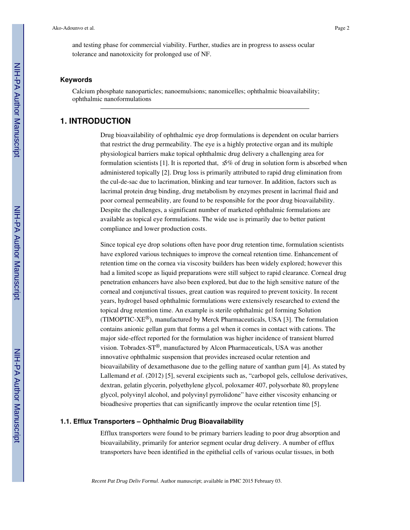and testing phase for commercial viability. Further, studies are in progress to assess ocular tolerance and nanotoxicity for prolonged use of NF.

#### **Keywords**

Calcium phosphate nanoparticles; nanoemulsions; nanomicelles; ophthalmic bioavailability; ophthalmic nanoformulations

# **1. INTRODUCTION**

Drug bioavailability of ophthalmic eye drop formulations is dependent on ocular barriers that restrict the drug permeability. The eye is a highly protective organ and its multiple physiological barriers make topical ophthalmic drug delivery a challenging area for formulation scientists [1]. It is reported that,  $\mathcal{S}\%$  of drug in solution form is absorbed when administered topically [2]. Drug loss is primarily attributed to rapid drug elimination from the cul-de-sac due to lacrimation, blinking and tear turnover. In addition, factors such as lacrimal protein drug binding, drug metabolism by enzymes present in lacrimal fluid and poor corneal permeability, are found to be responsible for the poor drug bioavailability. Despite the challenges, a significant number of marketed ophthalmic formulations are available as topical eye formulations. The wide use is primarily due to better patient compliance and lower production costs.

Since topical eye drop solutions often have poor drug retention time, formulation scientists have explored various techniques to improve the corneal retention time. Enhancement of retention time on the cornea via viscosity builders has been widely explored; however this had a limited scope as liquid preparations were still subject to rapid clearance. Corneal drug penetration enhancers have also been explored, but due to the high sensitive nature of the corneal and conjunctival tissues, great caution was required to prevent toxicity. In recent years, hydrogel based ophthalmic formulations were extensively researched to extend the topical drug retention time. An example is sterile ophthalmic gel forming Solution (TIMOPTIC-XE®), manufactured by Merck Pharmaceuticals, USA [3]. The formulation contains anionic gellan gum that forms a gel when it comes in contact with cations. The major side-effect reported for the formulation was higher incidence of transient blurred vision. Tobradex-ST®, manufactured by Alcon Pharmaceuticals, USA was another innovative ophthalmic suspension that provides increased ocular retention and bioavailability of dexamethasone due to the gelling nature of xanthan gum [4]. As stated by Lallemand *et al*. (2012) [5], several excipients such as, "carbopol gels, cellulose derivatives, dextran, gelatin glycerin, polyethylene glycol, poloxamer 407, polysorbate 80, propylene glycol, polyvinyl alcohol, and polyvinyl pyrrolidone" have either viscosity enhancing or bioadhesive properties that can significantly improve the ocular retention time [5].

#### **1.1. Efflux Transporters – Ophthalmic Drug Bioavailability**

Efflux transporters were found to be primary barriers leading to poor drug absorption and bioavailability, primarily for anterior segment ocular drug delivery. A number of efflux transporters have been identified in the epithelial cells of various ocular tissues, in both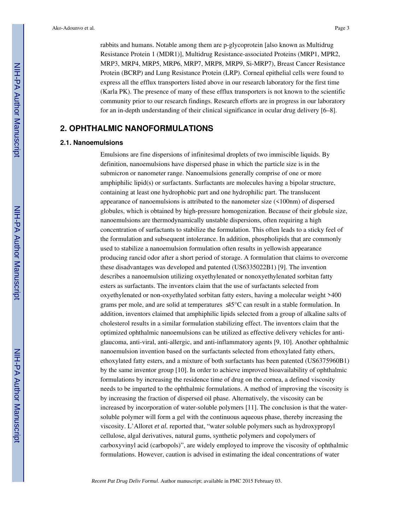rabbits and humans. Notable among them are p-glycoprotein [also known as Multidrug Resistance Protein 1 (MDR1)], Multidrug Resistance-associated Proteins (MRP1, MPR2, MRP3, MRP4, MRP5, MRP6, MRP7, MRP8, MRP9, Si-MRP7), Breast Cancer Resistance Protein (BCRP) and Lung Resistance Protein (LRP). Corneal epithelial cells were found to express all the efflux transporters listed above in our research laboratory for the first time (Karla PK). The presence of many of these efflux transporters is not known to the scientific community prior to our research findings. Research efforts are in progress in our laboratory for an in-depth understanding of their clinical significance in ocular drug delivery [6–8].

# **2. OPHTHALMIC NANOFORMULATIONS**

#### **2.1. Nanoemulsions**

Emulsions are fine dispersions of infinitesimal droplets of two immiscible liquids. By definition, nanoemulsions have dispersed phase in which the particle size is in the submicron or nanometer range. Nanoemulsions generally comprise of one or more amphiphilic lipid(s) or surfactants. Surfactants are molecules having a bipolar structure, containing at least one hydrophobic part and one hydrophilic part. The translucent appearance of nanoemulsions is attributed to the nanometer size (<100nm) of dispersed globules, which is obtained by high-pressure homogenization. Because of their globule size, nanoemulsions are thermodynamically unstable dispersions, often requiring a high concentration of surfactants to stabilize the formulation. This often leads to a sticky feel of the formulation and subsequent intolerance. In addition, phospholipids that are commonly used to stabilize a nanoemulsion formulation often results in yellowish appearance producing rancid odor after a short period of storage. A formulation that claims to overcome these disadvantages was developed and patented (US6335022B1) [9]. The invention describes a nanoemulsion utilizing oxyethylenated or nonoxyethylenated sorbitan fatty esters as surfactants. The inventors claim that the use of surfactants selected from oxyethylenated or non-oxyethylated sorbitan fatty esters, having a molecular weight >400 grams per mole, and are solid at temperatures ≤45°C can result in a stable formulation. In addition, inventors claimed that amphiphilic lipids selected from a group of alkaline salts of cholesterol results in a similar formulation stabilizing effect. The inventors claim that the optimized ophthalmic nanoemulsions can be utilized as effective delivery vehicles for antiglaucoma, anti-viral, anti-allergic, and anti-inflammatory agents [9, 10]. Another ophthalmic nanoemulsion invention based on the surfactants selected from ethoxylated fatty ethers, ethoxylated fatty esters, and a mixture of both surfactants has been patented (US6375960B1) by the same inventor group [10]. In order to achieve improved bioavailability of ophthalmic formulations by increasing the residence time of drug on the cornea, a defined viscosity needs to be imparted to the ophthalmic formulations. A method of improving the viscosity is by increasing the fraction of dispersed oil phase. Alternatively, the viscosity can be increased by incorporation of water-soluble polymers [11]. The conclusion is that the watersoluble polymer will form a gel with the continuous aqueous phase, thereby increasing the viscosity. L'Alloret *et al.* reported that, "water soluble polymers such as hydroxypropyl cellulose, algal derivatives, natural gums, synthetic polymers and copolymers of carboxyvinyl acid (carbopols)", are widely employed to improve the viscosity of ophthalmic formulations. However, caution is advised in estimating the ideal concentrations of water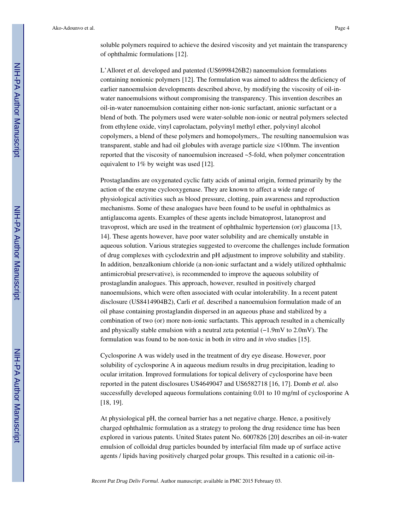soluble polymers required to achieve the desired viscosity and yet maintain the transparency of ophthalmic formulations [12].

L'Alloret *et al.* developed and patented (US6998426B2) nanoemulsion formulations containing nonionic polymers [12]. The formulation was aimed to address the deficiency of earlier nanoemulsion developments described above, by modifying the viscosity of oil-inwater nanoemulsions without compromising the transparency. This invention describes an oil-in-water nanoemulsion containing either non-ionic surfactant, anionic surfactant or a blend of both. The polymers used were water-soluble non-ionic or neutral polymers selected from ethylene oxide, vinyl caprolactam, polyvinyl methyl ether, polyvinyl alcohol copolymers, a blend of these polymers and homopolymers,. The resulting nanoemulsion was transparent, stable and had oil globules with average particle size <100nm. The invention reported that the viscosity of nanoemulsion increased ~5-fold, when polymer concentration equivalent to 1% by weight was used [12].

Prostaglandins are oxygenated cyclic fatty acids of animal origin, formed primarily by the action of the enzyme cyclooxygenase. They are known to affect a wide range of physiological activities such as blood pressure, clotting, pain awareness and reproduction mechanisms. Some of these analogues have been found to be useful in ophthalmics as antiglaucoma agents. Examples of these agents include bimatoprost, latanoprost and travoprost, which are used in the treatment of ophthalmic hypertension (or) glaucoma [13, 14]. These agents however, have poor water solubility and are chemically unstable in aqueous solution. Various strategies suggested to overcome the challenges include formation of drug complexes with cyclodextrin and pH adjustment to improve solubility and stability. In addition, benzalkonium chloride (a non-ionic surfactant and a widely utilized ophthalmic antimicrobial preservative), is recommended to improve the aqueous solubility of prostaglandin analogues. This approach, however, resulted in positively charged nanoemulsions, which were often associated with ocular intolerability. In a recent patent disclosure (US8414904B2), Carli *et al.* described a nanoemulsion formulation made of an oil phase containing prostaglandin dispersed in an aqueous phase and stabilized by a combination of two (or) more non-ionic surfactants. This approach resulted in a chemically and physically stable emulsion with a neutral zeta potential (−1.9mV to 2.0mV). The formulation was found to be non-toxic in both *in vitro* and *in vivo* studies [15].

Cyclosporine A was widely used in the treatment of dry eye disease. However, poor solubility of cyclosporine A in aqueous medium results in drug precipitation, leading to ocular irritation. Improved formulations for topical delivery of cyclosporine have been reported in the patent disclosures US4649047 and US6582718 [16, 17]. Domb *et al.* also successfully developed aqueous formulations containing 0.01 to 10 mg/ml of cyclosporine A [18, 19].

At physiological pH, the corneal barrier has a net negative charge. Hence, a positively charged ophthalmic formulation as a strategy to prolong the drug residence time has been explored in various patents. United States patent No. 6007826 [20] describes an oil-in-water emulsion of colloidal drug particles bounded by interfacial film made up of surface active agents / lipids having positively charged polar groups. This resulted in a cationic oil-in-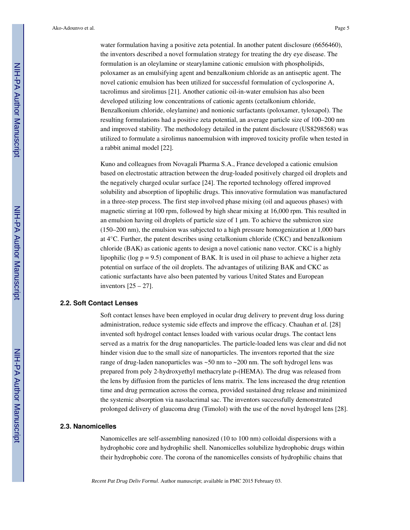water formulation having a positive zeta potential. In another patent disclosure (6656460), the inventors described a novel formulation strategy for treating the dry eye disease. The formulation is an oleylamine or stearylamine cationic emulsion with phospholipids, poloxamer as an emulsifying agent and benzalkonium chloride as an antiseptic agent. The novel cationic emulsion has been utilized for successful formulation of cyclosporine A, tacrolimus and sirolimus [21]. Another cationic oil-in-water emulsion has also been developed utilizing low concentrations of cationic agents (cetalkonium chloride, Benzalkonium chloride, oleylamine) and nonionic surfactants (poloxamer, tyloxapol). The resulting formulations had a positive zeta potential, an average particle size of 100–200 nm and improved stability. The methodology detailed in the patent disclosure (US8298568) was utilized to formulate a sirolimus nanoemulsion with improved toxicity profile when tested in a rabbit animal model [22].

Kuno and colleagues from Novagali Pharma S.A., France developed a cationic emulsion based on electrostatic attraction between the drug-loaded positively charged oil droplets and the negatively charged ocular surface [24]. The reported technology offered improved solubility and absorption of lipophilic drugs. This innovative formulation was manufactured in a three-step process. The first step involved phase mixing (oil and aqueous phases) with magnetic stirring at 100 rpm, followed by high shear mixing at 16,000 rpm. This resulted in an emulsion having oil droplets of particle size of 1 μm. To achieve the submicron size (150–200 nm), the emulsion was subjected to a high pressure homogenization at 1,000 bars at 4°C. Further, the patent describes using cetalkonium chloride (CKC) and benzalkonium chloride (BAK) as cationic agents to design a novel cationic nano vector. CKC is a highly lipophilic (log  $p = 9.5$ ) component of BAK. It is used in oil phase to achieve a higher zeta potential on surface of the oil droplets. The advantages of utilizing BAK and CKC as cationic surfactants have also been patented by various United States and European inventors  $[25 - 27]$ .

#### **2.2. Soft Contact Lenses**

Soft contact lenses have been employed in ocular drug delivery to prevent drug loss during administration, reduce systemic side effects and improve the efficacy. Chauhan *et al.* [28] invented soft hydrogel contact lenses loaded with various ocular drugs. The contact lens served as a matrix for the drug nanoparticles. The particle-loaded lens was clear and did not hinder vision due to the small size of nanoparticles. The inventors reported that the size range of drug-laden nanoparticles was  $\sim$  50 nm to  $\sim$  200 nm. The soft hydrogel lens was prepared from poly 2-hydroxyethyl methacrylate p-(HEMA). The drug was released from the lens by diffusion from the particles of lens matrix. The lens increased the drug retention time and drug permeation across the cornea, provided sustained drug release and minimized the systemic absorption via nasolacrimal sac. The inventors successfully demonstrated prolonged delivery of glaucoma drug (Timolol) with the use of the novel hydrogel lens [28].

#### **2.3. Nanomicelles**

Nanomicelles are self-assembling nanosized (10 to 100 nm) colloidal dispersions with a hydrophobic core and hydrophilic shell. Nanomicelles solubilize hydrophobic drugs within their hydrophobic core. The corona of the nanomicelles consists of hydrophilic chains that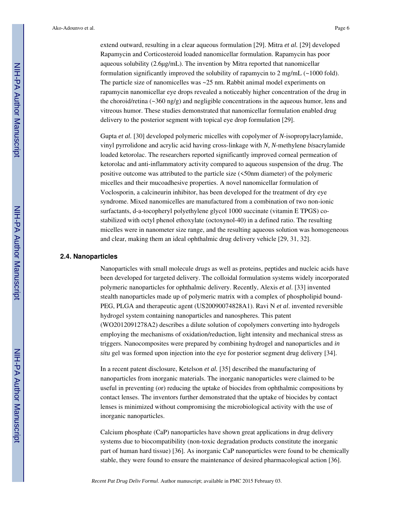extend outward, resulting in a clear aqueous formulation [29]. Mitra *et al.* [29] developed Rapamycin and Corticosteroid loaded nanomicellar formulation. Rapamycin has poor aqueous solubility (2.6μg/mL). The invention by Mitra reported that nanomicellar formulation significantly improved the solubility of rapamycin to 2 mg/mL  $\left(\sim1000\right)$  fold). The particle size of nanomicelles was ~25 nm. Rabbit animal model experiments on rapamycin nanomicellar eye drops revealed a noticeably higher concentration of the drug in the choroid/retina  $(\sim 360 \text{ ng/g})$  and negligible concentrations in the aqueous humor, lens and vitreous humor. These studies demonstrated that nanomicellar formulation enabled drug delivery to the posterior segment with topical eye drop formulation [29].

Gupta *et al.* [30] developed polymeric micelles with copolymer of *N*-isopropylacrylamide, vinyl pyrrolidone and acrylic acid having cross-linkage with *N, N*-methylene *bis*acrylamide loaded ketorolac. The researchers reported significantly improved corneal permeation of ketorolac and anti-inflammatory activity compared to aqueous suspension of the drug. The positive outcome was attributed to the particle size (<50nm diameter) of the polymeric micelles and their mucoadhesive properties. A novel nanomicellar formulation of Voclosporin, a calcineurin inhibitor, has been developed for the treatment of dry eye syndrome. Mixed nanomicelles are manufactured from a combination of two non-ionic surfactants, d-a-tocopheryl polyethylene glycol 1000 succinate (vitamin E TPGS) costabilized with octyl phenol ethoxylate (octoxynol-40) in a defined ratio. The resulting micelles were in nanometer size range, and the resulting aqueous solution was homogeneous and clear, making them an ideal ophthalmic drug delivery vehicle [29, 31, 32].

#### **2.4. Nanoparticles**

Nanoparticles with small molecule drugs as well as proteins, peptides and nucleic acids have been developed for targeted delivery. The colloidal formulation systems widely incorporated polymeric nanoparticles for ophthalmic delivery. Recently, Alexis *et al*. [33] invented stealth nanoparticles made up of polymeric matrix with a complex of phospholipid bound-PEG, PLGA and therapeutic agent (US20090074828A1). Ravi N *et al*. invented reversible hydrogel system containing nanoparticles and nanospheres. This patent (WO2012091278A2) describes a dilute solution of copolymers converting into hydrogels employing the mechanisms of oxidation/reduction, light intensity and mechanical stress as triggers. Nanocomposites were prepared by combining hydrogel and nanoparticles and *in situ* gel was formed upon injection into the eye for posterior segment drug delivery [34].

In a recent patent disclosure, Ketelson *et al.* [35] described the manufacturing of nanoparticles from inorganic materials. The inorganic nanoparticles were claimed to be useful in preventing (or) reducing the uptake of biocides from ophthalmic compositions by contact lenses. The inventors further demonstrated that the uptake of biocides by contact lenses is minimized without compromising the microbiological activity with the use of inorganic nanoparticles.

Calcium phosphate (CaP) nanoparticles have shown great applications in drug delivery systems due to biocompatibility (non-toxic degradation products constitute the inorganic part of human hard tissue) [36]. As inorganic CaP nanoparticles were found to be chemically stable, they were found to ensure the maintenance of desired pharmacological action [36].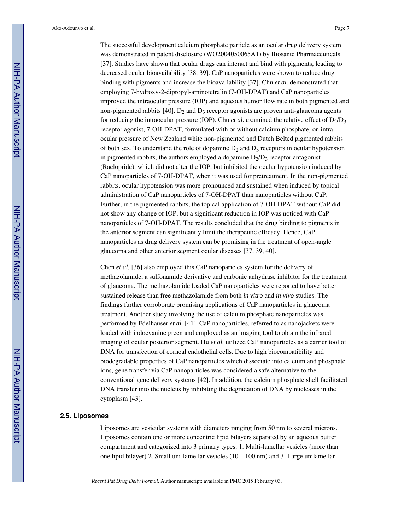The successful development calcium phosphate particle as an ocular drug delivery system was demonstrated in patent disclosure (WO2004050065A1) by Biosante Pharmaceuticals [37]. Studies have shown that ocular drugs can interact and bind with pigments, leading to decreased ocular bioavailability [38, 39]. CaP nanoparticles were shown to reduce drug binding with pigments and increase the bioavailability [37]. Chu *et al*. demonstrated that employing 7-hydroxy-2-dipropyl-aminotetralin (7-OH-DPAT) and CaP nanoparticles improved the intraocular pressure (IOP) and aqueous humor flow rate in both pigmented and non-pigmented rabbits [40].  $D_2$  and  $D_3$  receptor agonists are proven anti-glaucoma agents for reducing the intraocular pressure (IOP). Chu *et al.* examined the relative effect of  $D_2/D_3$ receptor agonist, 7-OH-DPAT, formulated with or without calcium phosphate, on intra ocular pressure of New Zealand white non-pigmented and Dutch Belted pigmented rabbits of both sex. To understand the role of dopamine  $D_2$  and  $D_3$  receptors in ocular hypotension in pigmented rabbits, the authors employed a dopamine  $D_2/D_3$  receptor antagonist (Raclopride), which did not alter the IOP, but inhibited the ocular hypotension induced by CaP nanoparticles of 7-OH-DPAT, when it was used for pretreatment. In the non-pigmented rabbits, ocular hypotension was more pronounced and sustained when induced by topical administration of CaP nanoparticles of 7-OH-DPAT than nanoparticles without CaP. Further, in the pigmented rabbits, the topical application of 7-OH-DPAT without CaP did not show any change of IOP, but a significant reduction in IOP was noticed with CaP nanoparticles of 7-OH-DPAT. The results concluded that the drug binding to pigments in the anterior segment can significantly limit the therapeutic efficacy. Hence, CaP nanoparticles as drug delivery system can be promising in the treatment of open-angle glaucoma and other anterior segment ocular diseases [37, 39, 40].

Chen *et al.* [36] also employed this CaP nanoparicles system for the delivery of methazolamide, a sulfonamide derivative and carbonic anhydrase inhibitor for the treatment of glaucoma. The methazolamide loaded CaP nanoparticles were reported to have better sustained release than free methazolamide from both *in vitro* and *in vivo* studies. The findings further corroborate promising applications of CaP nanoparticles in glaucoma treatment. Another study involving the use of calcium phosphate nanoparticles was performed by Edelhauser *et al*. [41]. CaP nanoparticles, referred to as nanojackets were loaded with indocyanine green and employed as an imaging tool to obtain the infrared imaging of ocular posterior segment. Hu *et al.* utilized CaP nanoparticles as a carrier tool of DNA for transfection of corneal endothelial cells. Due to high biocompatibility and biodegradable properties of CaP nanoparticles which dissociate into calcium and phosphate ions, gene transfer via CaP nanoparticles was considered a safe alternative to the conventional gene delivery systems [42]. In addition, the calcium phosphate shell facilitated DNA transfer into the nucleus by inhibiting the degradation of DNA by nucleases in the cytoplasm [43].

#### **2.5. Liposomes**

Liposomes are vesicular systems with diameters ranging from 50 nm to several microns. Liposomes contain one or more concentric lipid bilayers separated by an aqueous buffer compartment and categorized into 3 primary types: 1. Multi-lamellar vesicles (more than one lipid bilayer) 2. Small uni-lamellar vesicles (10 – 100 nm) and 3. Large unilamellar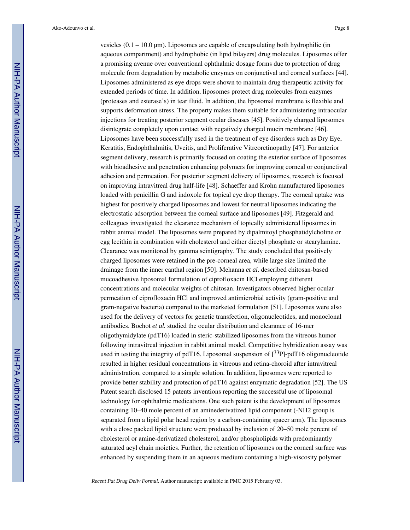vesicles (0.1 – 10.0 μm). Liposomes are capable of encapsulating both hydrophilic (in aqueous compartment) and hydrophobic (in lipid bilayers) drug molecules. Liposomes offer a promising avenue over conventional ophthalmic dosage forms due to protection of drug molecule from degradation by metabolic enzymes on conjunctival and corneal surfaces [44]. Liposomes administered as eye drops were shown to maintain drug therapeutic activity for extended periods of time. In addition, liposomes protect drug molecules from enzymes (proteases and esterase's) in tear fluid. In addition, the liposomal membrane is flexible and supports deformation stress. The property makes them suitable for administering intraocular injections for treating posterior segment ocular diseases [45]. Positively charged liposomes disintegrate completely upon contact with negatively charged mucin membrane [46]. Liposomes have been successfully used in the treatment of eye disorders such as Dry Eye, Keratitis, Endophthalmitis, Uveitis, and Proliferative Vitreoretinopathy [47]. For anterior segment delivery, research is primarily focused on coating the exterior surface of liposomes with bioadhesive and penetration enhancing polymers for improving corneal or conjunctival adhesion and permeation. For posterior segment delivery of liposomes, research is focused on improving intravitreal drug half-life [48]. Schaeffer and Krohn manufactured liposomes loaded with penicillin G and indoxole for topical eye drop therapy. The corneal uptake was highest for positively charged liposomes and lowest for neutral liposomes indicating the electrostatic adsorption between the corneal surface and liposomes [49]. Fitzgerald and colleagues investigated the clearance mechanism of topically administered liposomes in rabbit animal model. The liposomes were prepared by dipalmitoyl phosphatidylcholine or egg lecithin in combination with cholesterol and either dicetyl phosphate or stearylamine. Clearance was monitored by gamma scintigraphy. The study concluded that positively charged liposomes were retained in the pre-corneal area, while large size limited the drainage from the inner canthal region [50]. Mehanna *et al.* described chitosan-based mucoadhesive liposomal formulation of ciprofloxacin HCl employing different concentrations and molecular weights of chitosan. Investigators observed higher ocular permeation of ciprofloxacin HCl and improved antimicrobial activity (gram-positive and gram-negative bacteria) compared to the marketed formulation [51]. Liposomes were also used for the delivery of vectors for genetic transfection, oligonucleotides, and monoclonal antibodies. Bochot *et al.* studied the ocular distribution and clearance of 16-mer oligothymidylate (pdT16) loaded in steric-stabilized liposomes from the vitreous humor following intravitreal injection in rabbit animal model. Competitive hybridization assay was used in testing the integrity of pdT16. Liposomal suspension of  $\left[3^{3}P\right]-p\frac{d}{d}T16$  oligonucleotide resulted in higher residual concentrations in vitreous and retina-choroid after intravitreal administration, compared to a simple solution. In addition, liposomes were reported to provide better stability and protection of pdT16 against enzymatic degradation [52]. The US Patent search disclosed 15 patents inventions reporting the successful use of liposomal technology for ophthalmic medications. One such patent is the development of liposomes containing 10–40 mole percent of an aminederivatized lipid component (-NH2 group is separated from a lipid polar head region by a carbon-containing spacer arm). The liposomes with a close packed lipid structure were produced by inclusion of 20–50 mole percent of cholesterol or amine-derivatized cholesterol, and/or phospholipids with predominantly saturated acyl chain moieties. Further, the retention of liposomes on the corneal surface was enhanced by suspending them in an aqueous medium containing a high-viscosity polymer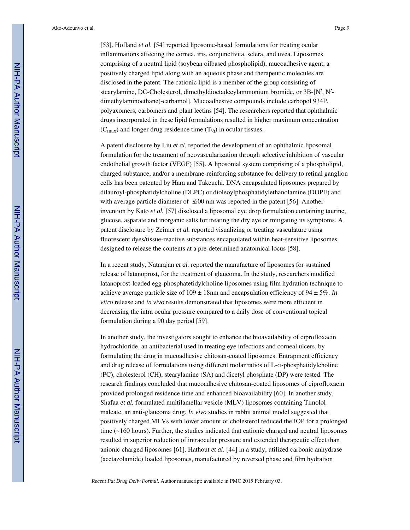[53]. Hofland *et al.* [54] reported liposome-based formulations for treating ocular inflammations affecting the cornea, iris, conjunctivita, sclera, and uvea. Liposomes comprising of a neutral lipid (soybean oilbased phospholipid), mucoadhesive agent, a positively charged lipid along with an aqueous phase and therapeutic molecules are disclosed in the patent. The cationic lipid is a member of the group consisting of stearylamine, DC-Cholesterol, dimethyldioctadecylammonium bromide, or 3B-[N′, N′ dimethylaminoethane)-carbamol]. Mucoadhesive compounds include carbopol 934P, polyaxomers, carbomers and plant lectins [54]. The researchers reported that ophthalmic drugs incorporated in these lipid formulations resulted in higher maximum concentration

 $(C_{\text{max}})$  and longer drug residence time  $(T_{1/2})$  in ocular tissues.

A patent disclosure by Liu *et al.* reported the development of an ophthalmic liposomal formulation for the treatment of neovascularization through selective inhibition of vascular endothelial growth factor (VEGF) [55]. A liposomal system comprising of a phospholipid, charged substance, and/or a membrane-reinforcing substance for delivery to retinal ganglion cells has been patented by Hara and Takeuchi. DNA encapsulated liposomes prepared by dilauroyl-phosphatidylcholine (DLPC) or dioleoylphosphatidylethanolamine (DOPE) and with average particle diameter of ≤600 nm was reported in the patent [56]. Another invention by Kato *et al.* [57] disclosed a liposomal eye drop formulation containing taurine, glucose, asparate and inorganic salts for treating the dry eye or mitigating its symptoms. A patent disclosure by Zeimer *et al.* reported visualizing or treating vasculature using fluorescent dyes/tissue-reactive substances encapsulated within heat-sensitive liposomes designed to release the contents at a pre-determined anatomical locus [58].

In a recent study, Natarajan *et al.* reported the manufacture of liposomes for sustained release of latanoprost, for the treatment of glaucoma. In the study, researchers modified latanoprost-loaded egg-phosphatetidylcholine liposomes using film hydration technique to achieve average particle size of  $109 \pm 18$ nm and encapsulation efficiency of  $94 \pm 5\%$ . *In vitro* release and *in vivo* results demonstrated that liposomes were more efficient in decreasing the intra ocular pressure compared to a daily dose of conventional topical formulation during a 90 day period [59].

In another study, the investigators sought to enhance the bioavailability of ciprofloxacin hydrochloride, an antibacterial used in treating eye infections and corneal ulcers, by formulating the drug in mucoadhesive chitosan-coated liposomes. Entrapment efficiency and drug release of formulations using different molar ratios of L-α-phosphatidylcholine (PC), cholesterol (CH), stearylamine (SA) and dicetyl phosphate (DP) were tested. The research findings concluded that mucoadhesive chitosan-coated liposomes of ciprofloxacin provided prolonged residence time and enhanced bioavailability [60]. In another study, Shafaa *et al.* formulated multilamellar vesicle (MLV) liposomes containing Timolol maleate, an anti-glaucoma drug. *In vivo* studies in rabbit animal model suggested that positively charged MLVs with lower amount of cholesterol reduced the IOP for a prolonged time (~160 hours). Further, the studies indicated that cationic charged and neutral liposomes resulted in superior reduction of intraocular pressure and extended therapeutic effect than anionic charged liposomes [61]. Hathout *et al*. [44] in a study, utilized carbonic anhydrase (acetazolamide) loaded liposomes, manufactured by reversed phase and film hydration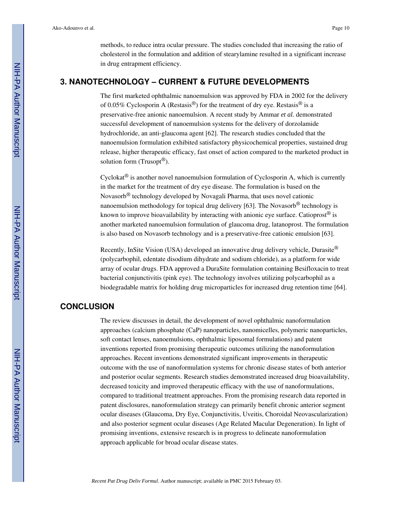methods, to reduce intra ocular pressure. The studies concluded that increasing the ratio of cholesterol in the formulation and addition of stearylamine resulted in a significant increase in drug entrapment efficiency.

# **3. NANOTECHNOLOGY – CURRENT & FUTURE DEVELOPMENTS**

The first marketed ophthalmic nanoemulsion was approved by FDA in 2002 for the delivery of 0.05% Cyclosporin A (Restasis<sup>®</sup>) for the treatment of dry eye. Restasis<sup>®</sup> is a preservative-free anionic nanoemulsion. A recent study by Ammar *et al.* demonstrated successful development of nanoemulsion systems for the delivery of dorzolamide hydrochloride, an anti-glaucoma agent [62]. The research studies concluded that the nanoemulsion formulation exhibited satisfactory physicochemical properties, sustained drug release, higher therapeutic efficacy, fast onset of action compared to the marketed product in solution form (Trusopt<sup>®</sup>).

Cyclokat<sup>®</sup> is another novel nanoemulsion formulation of Cyclosporin A, which is currently in the market for the treatment of dry eye disease. The formulation is based on the Novasorb® technology developed by Novagali Pharma, that uses novel cationic nanoemulsion methodology for topical drug delivery [63]. The Novasorb<sup>®</sup> technology is known to improve bioavailability by interacting with anionic eye surface. Catioprost<sup>®</sup> is another marketed nanoemulsion formulation of glaucoma drug, latanoprost. The formulation is also based on Novasorb technology and is a preservative-free cationic emulsion [63].

Recently, InSite Vision (USA) developed an innovative drug delivery vehicle, Durasite® (polycarbophil, edentate disodium dihydrate and sodium chloride), as a platform for wide array of ocular drugs. FDA approved a DuraSite formulation containing Besifloxacin to treat bacterial conjunctivitis (pink eye). The technology involves utilizing polycarbophil as a biodegradable matrix for holding drug microparticles for increased drug retention time [64].

# **CONCLUSION**

The review discusses in detail, the development of novel ophthalmic nanoformulation approaches (calcium phosphate (CaP) nanoparticles, nanomicelles, polymeric nanoparticles, soft contact lenses, nanoemulsions, ophthalmic liposomal formulations) and patent inventions reported from promising therapeutic outcomes utilizing the nanoformulation approaches. Recent inventions demonstrated significant improvements in therapeutic outcome with the use of nanoformulation systems for chronic disease states of both anterior and posterior ocular segments. Research studies demonstrated increased drug bioavailability, decreased toxicity and improved therapeutic efficacy with the use of nanoformulations, compared to traditional treatment approaches. From the promising research data reported in patent disclosures, nanoformulation strategy can primarily benefit chronic anterior segment ocular diseases (Glaucoma, Dry Eye, Conjunctivitis, Uveitis, Choroidal Neovascularization) and also posterior segment ocular diseases (Age Related Macular Degeneration). In light of promising inventions, extensive research is in progress to delineate nanoformulation approach applicable for broad ocular disease states.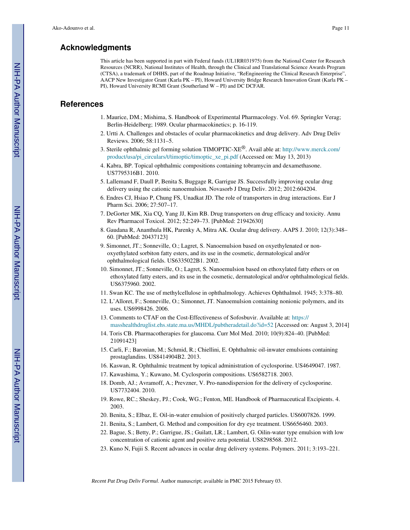# **Acknowledgments**

This article has been supported in part with Federal funds (UL1RR031975) from the National Center for Research Resources (NCRR), National Institutes of Health, through the Clinical and Translational Science Awards Program (CTSA), a trademark of DHHS, part of the Roadmap Initiative, "ReEngineering the Clinical Research Enterprise", AACP New Investigator Grant (Karla PK – PI), Howard University Bridge Research Innovation Grant (Karla PK – PI), Howard University RCMI Grant (Southerland W – PI) and DC DCFAR.

# **References**

- 1. Maurice, DM.; Mishima, S. Handbook of Experimental Pharmacology. Vol. 69. Springler Verag; Berlin-Heidelberg; 1989. Ocular pharmacokinetics; p. 16-119.
- 2. Urtti A. Challenges and obstacles of ocular pharmacokinetics and drug delivery. Adv Drug Deliv Reviews. 2006; 58:1131–5.
- 3. Sterile ophthalmic gel forming solution TIMOPTIC-XE®. Avail able at: http://www.merck.com/ product/usa/pi\_circulars/t/timoptic/timoptic\_xe\_pi.pdf (Accessed on: May 13, 2013)
- 4. Kabra, BP. Topical ophthalmic compositions containing tobramycin and dexamethasone. US7795316B1. 2010.
- 5. Lallemand F, Daull P, Benita S, Buggage R, Garrigue JS. Successfully improving ocular drug delivery using the cationic nanoemulsion. Novasorb J Drug Deliv. 2012; 2012:604204.
- 6. Endres CJ, Hsiao P, Chung FS, Unadkat JD. The role of transporters in drug interactions. Eur J Pharm Sci. 2006; 27:507–17.
- 7. DeGorter MK, Xia CQ, Yang JJ, Kim RB. Drug transporters on drug efficacy and toxicity. Annu Rev Pharmacol Toxicol. 2012; 52:249–73. [PubMed: 21942630]
- 8. Gaudana R, Ananthula HK, Parenky A, Mitra AK. Ocular drug delivery. AAPS J. 2010; 12(3):348– 60. [PubMed: 20437123]
- 9. Simonnet, JT.; Sonneville, O.; Lagret, S. Nanoemulsion based on oxyethylenated or nonoxyethylated sorbiton fatty esters, and its use in the cosmetic, dermatological and/or ophthalmological fields. US6335022B1. 2002.
- 10. Simonnet, JT.; Sonneville, O.; Lagret, S. Nanoemulsion based on ethoxylated fatty ethers or on ethoxylated fatty esters, and its use in the cosmetic, dermatological and/or ophthalmological fields. US6375960. 2002.
- 11. Swan KC. The use of methylcellulose in ophthalmology. Achieves Ophthalmol. 1945; 3:378–80.
- 12. L'Alloret, F.; Sonneville, O.; Simonnet, JT. Nanoemulsion containing nonionic polymers, and its uses. US6998426. 2006.
- 13. Comments to CTAF on the Cost-Effectiveness of Sofosbuvir. Available at: https:// masshealthdruglist.ehs.state.ma.us/MHDL/pubtheradetail.do?id=52 [Accessed on: August 3, 2014]
- 14. Toris CB. Pharmacotherapies for glaucoma. Curr Mol Med. 2010; 10(9):824–40. [PubMed: 21091423]
- 15. Carli, F.; Baronian, M.; Schmid, R.; Chiellini, E. Ophthalmic oil-inwater emulsions containing prostaglandins. US8414904B2. 2013.
- 16. Kaswan, R. Ophthalmic treatment by topical administration of cyclosporine. US4649047. 1987.
- 17. Kawashima, Y.; Kuwano, M. Cyclosporin compositions. US6582718. 2003.
- 18. Domb, AJ.; Avramoff, A.; Prevzner, V. Pro-nanodispersion for the delivery of cyclosporine. US7732404. 2010.
- 19. Rowe, RC.; Sheskey, PJ.; Cook, WG.; Fenton, ME. Handbook of Pharmaceutical Excipients. 4. 2003.
- 20. Benita, S.; Elbaz, E. Oil-in-water emulsion of positively charged particles. US6007826. 1999.
- 21. Benita, S.; Lambert, G. Method and composition for dry eye treatment. US6656460. 2003.
- 22. Bague, S.; Betty, P.; Garrigue, JS.; Guilatt, LR.; Lambert, G. Oilin-water type emulsion with low concentration of cationic agent and positive zeta potential. US8298568. 2012.
- 23. Kuno N, Fujii S. Recent advances in ocular drug delivery systems. Polymers. 2011; 3:193–221.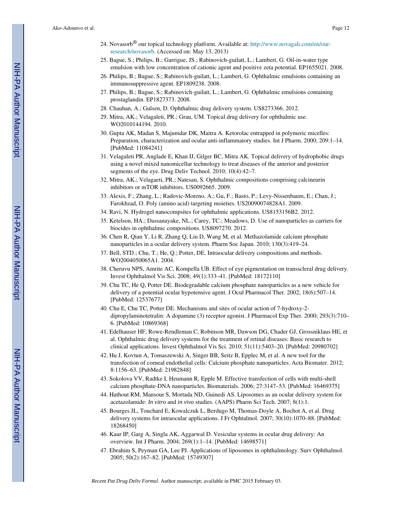- 24. Novasorb<sup>®</sup> our topical technology platform. Available at: http://www.novagali.com/en/ourresearch/novasorb. (Accessed on: May 13, 2013)
- 25. Bague, S.; Philips, B.; Garrigue, JS.; Rabinovich-guilatt, L.; Lambert, G. Oil-in-water type emulsion with low concentration of cationic agent and positive zeta potential. EP1655021. 2008.
- 26. Philips, B.; Bague, S.; Rabinovich-guilatt, L.; Lambert, G. Ophthalmic emulsions containing an immunosuppressive agent. EP1809238. 2008.
- 27. Philips, B.; Bague, S.; Rabinovich-guilatt, L.; Lambert, G. Ophthalmic emulsions containing prostaglandin. EP1827373. 2008.
- 28. Chauhan, A.; Gulsen, D. Ophthalmic drug delivery system. US8273366. 2012.
- 29. Mitra, AK.; Velagaleti, PR.; Grau, UM. Topical drug delivery for ophthalmic use. WO2010144194. 2010.
- 30. Gupta AK, Madan S, Majumdar DK, Maitra A. Ketorolac entrapped in polymeric micelles: Preparation, characterization and ocular anti-inflammatory studies. Int J Pharm. 2000; 209:1–14. [PubMed: 11084241]
- 31. Velagaleti PR, Anglade E, Khan IJ, Gilger BC, Mitra AK. Topical delivery of hydrophobic drugs using a novel mixed nanomicellar technology to treat diseases of the anterior and posterior segments of the eye. Drug Deliv Technol. 2010; 10(4):42–7.
- 32. Mitra, AK.; Velagaeti, PR.; Natesan, S. Ophthalmic compositions comprising calcineurin inhibitors or mTOR inhibitors. US0092665. 2009.
- 33. Alexis, F.; Zhang, L.; Radovic-Moreno, A.; Gu, F.; Basto, P.; Levy-Nissenbaum, E.; Chan, J.; Farokhzad, O. Poly (amino acid) targeting moieties. US20090074828A1. 2009.
- 34. Ravi, N. Hydrogel nanocompsites for ophthalmic applications. US8153156B2. 2012.
- 35. Ketelson, HA.; Dassanayake, NL.; Carey, TC.; Meadows, D. Use of nanoparticles as carriers for biocides in ophthalmic compositions. US8097270. 2012.
- 36. Chen R, Qian Y, Li R, Zhang Q, Liu D, Wang M, et al. Methazolamide calcium phosphate nanoparticles in a ocular delivery system. Pharm Soc Japan. 2010; 130(3):419–24.
- 37. Bell, STD.; Chu, T.; He, Q.; Potter, DE. Intraocular delivery compositions and methods. WO2004050065A1. 2004.
- 38. Cheruvu NPS, Amrite AC, Kompella UB. Effect of eye pigmentation on transscleral drug delivery. Invest Ophthalmol Vis Sci. 2008; 49(1):333–41. [PubMed: 18172110]
- 39. Chu TC, He Q, Potter DE. Biodegradable calcium phosphate nanoparticles as a new vehicle for delivery of a potential ocular hypotensive agent. J Ocul Pharmacol Ther. 2002; 18(6):507–14. [PubMed: 12537677]
- 40. Chu E, Chu TC, Potter DE. Mechanisms and sites of ocular action of 7-hydroxy-2 dipropylaminotetralin: A dopamine (3) receptor agonist. J Pharmacol Exp Ther. 2000; 293(3):710– 6. [PubMed: 10869368]
- 41. Edelhauser HF, Rowe-Rendleman C, Robinson MR, Dawson DG, Chader GJ, Grossniklaus HE, et al. Ophthalmic drug delivery systems for the treatment of retinal diseases: Basic research to clinical applications. Invest Ophthalmol Vis Sci. 2010; 51(11):5403–20. [PubMed: 20980702]
- 42. Hu J, Kovtun A, Tomaszewski A, Singer BB, Seitz B, Epplec M, et al. A new tool for the transfection of corneal endothelial cells: Calcium phosphate nanoparticles. Acta Biomater. 2012; 8:1156–63. [PubMed: 21982848]
- 43. Sokolova VV, Radtke I, Heumann R, Epple M. Effective transfection of cells with multi-shell calcium phosphate-DNA nanoparticles. Biomaterials. 2006; 27:3147–53. [PubMed: 16469375]
- 44. Hathout RM, Mansour S, Mortada ND, Guinedi AS. Liposomes as an ocular delivery system for acetazolamide: *In vitro* and *in vivo* studies. (AAPS) Pharm Sci Tech. 2007; 8(1):1.
- 45. Bourges JL, Touchard E, Kowalczuk L, Berdugo M, Thomas-Doyle A, Bochot A, et al. Drug delivery systems for intraocular applications. J Fr Ophtalmol. 2007; 30(10):1070–88. [PubMed: 18268450]
- 46. Kaur IP, Garg A, Singla AK, Aggarwal D. Vesicular systems in ocular drug delivery: An overview. Int J Pharm. 2004; 269(1):1–14. [PubMed: 14698571]
- 47. Ebrahim S, Peyman GA, Lee PJ. Applications of liposomes in ophthalmology. Surv Ophthalmol. 2005; 50(2):167–82. [PubMed: 15749307]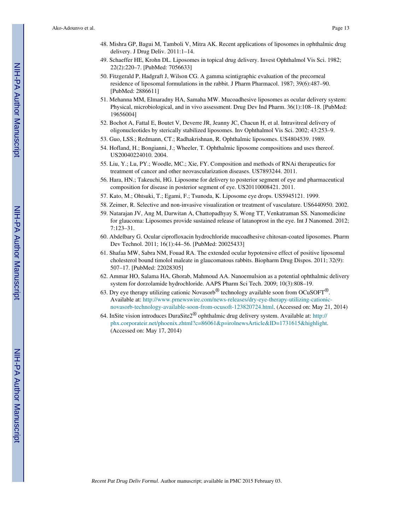- 48. Mishra GP, Bagui M, Tamboli V, Mitra AK. Recent applications of liposomes in ophthalmic drug delivery. J Drug Deliv. 2011:1–14.
- 49. Schaeffer HE, Krohn DL. Liposomes in topical drug delivery. Invest Ophthalmol Vis Sci. 1982; 22(2):220–7. [PubMed: 7056633]
- 50. Fitzgerald P, Hadgraft J, Wilson CG. A gamma scintigraphic evaluation of the precorneal residence of liposomal formulations in the rabbit. J Pharm Pharmacol. 1987; 39(6):487–90. [PubMed: 2886611]
- 51. Mehanna MM, Elmaradny HA, Samaha MW. Mucoadhesive liposomes as ocular delivery system: Physical, microbiological, and in vivo assessment. Drug Dev Ind Pharm. 36(1):108–18. [PubMed: 19656004]
- 52. Bochot A, Fattal E, Boutet V, Deverre JR, Jeanny JC, Chacun H, et al. Intravitreal delivery of oligonucleotides by sterically stabilized liposomes. Inv Ophthalmol Vis Sci. 2002; 43:253–9.
- 53. Guo, LSS.; Redmann, CT.; Radhakrishnan, R. Ophthalmic liposomes. US4804539. 1989.
- 54. Hofland, H.; Bongianni, J.; Wheeler, T. Ophthalmic liposome compositions and uses thereof. US20040224010. 2004.
- 55. Liu, Y.; Lu, PY.; Woodle, MC.; Xie, FY. Composition and methods of RNAi therapeutics for treatment of cancer and other neovascularization diseases. US7893244. 2011.
- 56. Hara, HN.; Takeuchi, HG. Liposome for delivery to posterior segment of eye and pharmaceutical composition for disease in posterior segment of eye. US20110008421. 2011.
- 57. Kato, M.; Ohtsuki, T.; Egami, F.; Tsunoda, K. Liposome eye drops. US5945121. 1999.
- 58. Zeimer, R. Selective and non-invasive visualization or treatment of vasculature. US6440950. 2002.
- 59. Natarajan JV, Ang M, Darwitan A, Chattopadhyay S, Wong TT, Venkatraman SS. Nanomedicine for glaucoma: Liposomes provide sustained release of latanoprost in the eye. Int J Nanomed. 2012; 7:123–31.
- 60. Abdelbary G. Ocular ciprofloxacin hydrochloride mucoadhesive chitosan-coated liposomes. Pharm Dev Technol. 2011; 16(1):44–56. [PubMed: 20025433]
- 61. Shafaa MW, Sabra NM, Fouad RA. The extended ocular hypotensive effect of positive liposomal cholesterol bound timolol maleate in glaucomatous rabbits. Biopharm Drug Dispos. 2011; 32(9): 507–17. [PubMed: 22028305]
- 62. Ammar HO, Salama HA, Ghorab, Mahmoud AA. Nanoemulsion as a potential ophthalmic delivery system for dorzolamide hydrochloride. AAPS Pharm Sci Tech. 2009; 10(3):808–19.
- 63. Dry eye therapy utilizing cationic Novasorb<sup>®</sup> technology available soon from OCuSOFT<sup>®</sup>. Available at: http://www.prnewswire.com/news-releases/dry-eye-therapy-utilizing-cationicnovasorb-technology-available-soon-from-ocusoft-123820724.html. (Accessed on: May 21, 2014)
- 64. InSite vision introduces DuraSite2® ophthalmic drug delivery system. Available at: http:// phx.corporateir.net/phoenix.zhtml?c=86061&p=irolnewsArticle&ID=1731615&highlight. (Accessed on: May 17, 2014)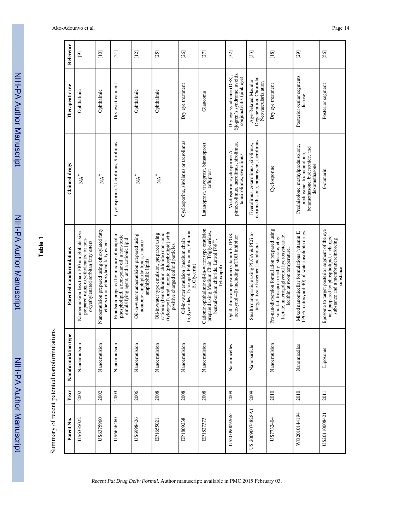| <u>ומה</u><br>2 |
|-----------------|
|                 |
|                 |
|                 |
|                 |
|                 |
|                 |
|                 |
|                 |
|                 |
|                 |
|                 |
|                 |
|                 |
| <br>?<br>?      |
|                 |
|                 |
|                 |
|                 |
|                 |
|                 |
|                 |

**Table 1**

Summary of recent patented nanoformulations. Summary of recent patented nanoformulations.

| Patent No.       | Year | ge<br>P<br>Nanoformulation ty | Patented nanoformulations                                                                                                                                                       | <b>Claimed</b> drugs                                                                                               | Therapeutic use                                                                      | Reference   |
|------------------|------|-------------------------------|---------------------------------------------------------------------------------------------------------------------------------------------------------------------------------|--------------------------------------------------------------------------------------------------------------------|--------------------------------------------------------------------------------------|-------------|
| US6335022        | 2002 | Nanoemulsion                  | Nanoemulsion less than 100 nm globule size<br>prepared using oxyethylenated or non-<br>oxyethylenated sorbitan fatty esters                                                     | $\stackrel{*}{\geq} N$                                                                                             | Ophthalmic                                                                           | $\boxed{9}$ |
| US6375960        | 2002 | Nanoemulsion                  | Nanoemulsion prepared using ethoxylated fatty<br>ethers or on ethoxylated fatty esters                                                                                          | $\mathbf{A}^*$                                                                                                     | Ophthalmic                                                                           | $[10]$      |
| US6656460        | 2003 | Nanoemulsion                  | Emulsion prepared by mixture of nonpolar<br>phospholipid, a non-polar oil, a non-toxic<br>emulsifying agent, and a cationic lipid                                               | Cyclosporine. Tacrolimus, Sirolimus                                                                                | Dry eye treatment                                                                    | $[21]$      |
| US6998426        | 2006 | Nanoemulsion                  | Oil-in-water nanoemulsion prepared using<br>nonionic amphiphilic lipids, anionic<br>amphiphilic lipids.                                                                         | $\stackrel{*}{\simeq} N$                                                                                           | Ophthalmic                                                                           | $[12]$      |
| EP1655021        | 2008 | Nanoemulsion                  | (tyloxapol), and anionic (phospholipid) with<br>cationic (benzalkonium chloride) non-ionic<br>Oil-in-water type emulsion, prepared using<br>positive charged colloid particles. | $\stackrel{*}{\mathbb{A}}^*$                                                                                       | Ophthalmic                                                                           | $[25]$      |
| EP1809238        | 2008 | Nanoemulsion                  | triglycerides, Tyloxapol, Poloxamer, Vitamin<br>Oil-in-water emulsion (medium chain<br>E, Glycerin)                                                                             | Cyclosporine, sirolimus or tacrolimus                                                                              | Dry eye treatment                                                                    | $[26]$      |
| EP1827373        | 2008 | Nanoemulsion                  | Cationic ophthalmic oil-in-water type emulsion<br>prepared using Medium Chain Triglycerides,<br>benzalkonium chloride, Lutrol F68 <sup>rM</sup> ,<br>Tyloxapol)                 | Latanoprost, travoprost, bimatoprost,<br>tafluprost                                                                | Glaucoma                                                                             | $[27]$      |
| US20090092665    | 2009 | Nanomicelles                  | Ophthalmic composition (vitamin E TPGS,<br>octoxynol-40) including mTOR inhibitor                                                                                               | pimecrolimus, tacrolimus, sirolimus,<br>Voclosporin, cyclosporine A,<br>temsirolimus, everolimus                   | Sjogren's syndrome, uveitis,<br>Dry eye syndrome (DES),<br>conjunctivitis (pink eye) | $[32]$      |
| US 20090074828A1 | 2009 | Nanoparticle                  | Stealth nanoparticle using PLGA & PEG to<br>target tissue basement membrane.                                                                                                    | dexamethasone, rapamycin, tacrolimus<br>Everolimus, zotarolimus, sirolimus,                                        | Degeneration, Choroidal<br>Age-Related Macular<br>Neovasculariz ation                | $[33]$      |
| US7732404        | 2010 | Nanoemulsion                  | Pro-nanodispersion formulation prepared using<br>lactate, macrogolglycerol hydroxystearate,<br>solid fat; tricaprin or ethyl stearate, ethyl<br>lecithin at room temperature.   | Cyclosporine                                                                                                       | Dry eye treatment                                                                    | $[18]$      |
| WO2010144194     | 2010 | Nanomicelles                  | TPGS, octoxynol-40) of waterinsoluble drugs.<br>Mixed nanomicellar formulations (vitamin E                                                                                      | Prednisolone, methylprednisolone,<br>betamethasone, budesonide, and<br>prednisone, triamcinolone,<br>dexamethasone | Posterior ocular segments<br>disease                                                 | $[29]$      |
| US20110008421    | 2011 | Liposome                      | liposome to target posterior segment of the eye<br>and prepared by phospholipid, a charged<br>substance and a membranereinforcing<br>substance                                  | 6-cumarin                                                                                                          | Posterior segment                                                                    | [56]        |